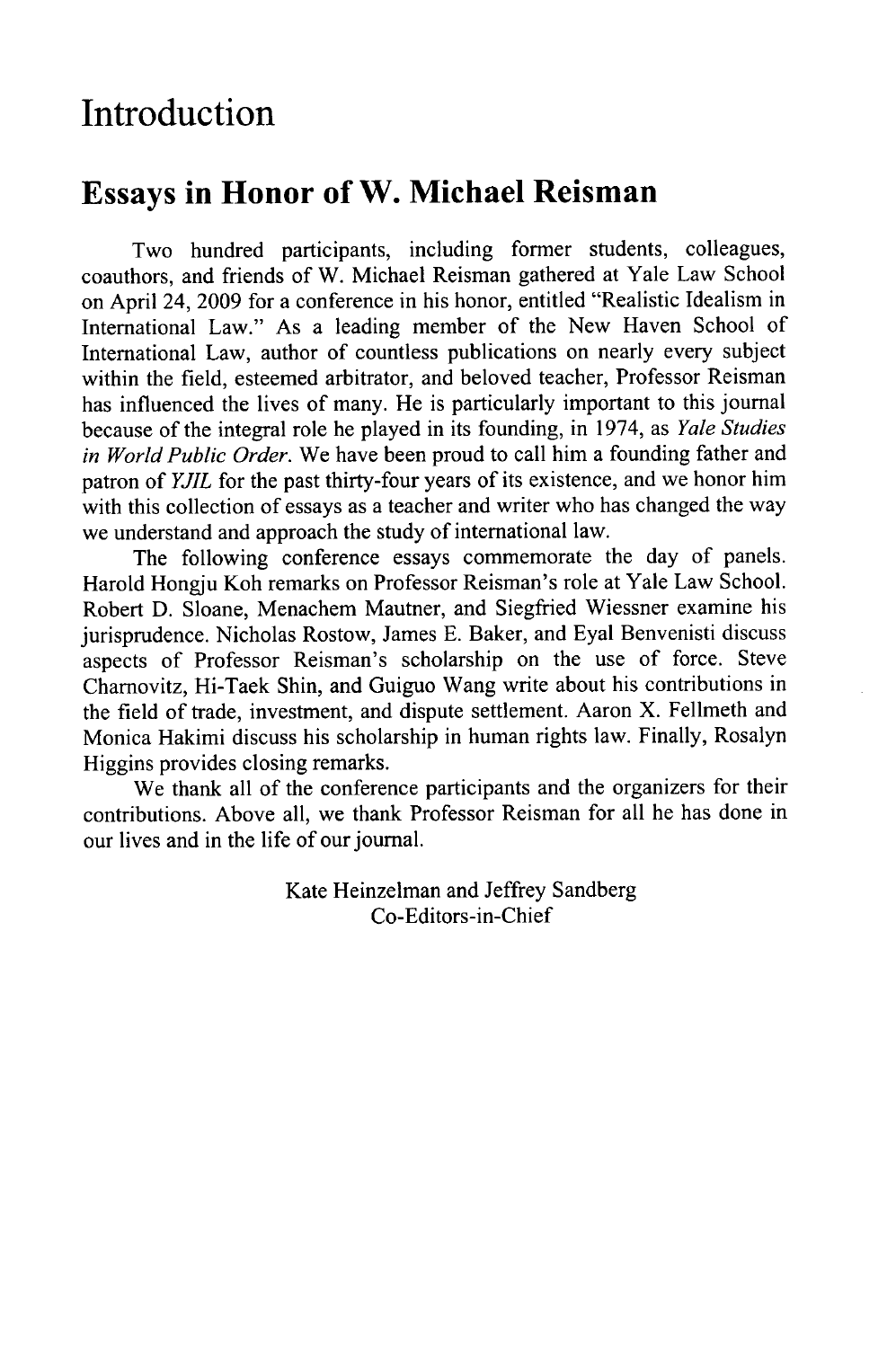## **Introduction**

## **Essays in Honor of W. Michael Reisman**

Two hundred participants, including former students, colleagues, coauthors, and friends of W. Michael Reisman gathered at Yale Law School on April 24, **2009** for a conference in his honor, entitled "Realistic Idealism in International Law." As a leading member of the New Haven School of International Law, author of countless publications on nearly every subject within the field, esteemed arbitrator, and beloved teacher, Professor Reisman has influenced the lives of many. He is particularly important to this journal because of the integral role he played in its founding, in 1974, as *Yale Studies in World Public Order.* We have been proud to call him a founding father and patron of *YJIL* for the past thirty-four years of its existence, and we honor him with this collection of essays as a teacher and writer who has changed the way we understand and approach the study of international law.

The following conference essays commemorate the day of panels. Harold Hongju Koh remarks on Professor Reisman's role at Yale Law School. Robert D. Sloane, Menachem Mautner, and Siegfried Wiessner examine his jurisprudence. Nicholas Rostow, James E. Baker, and Eyal Benvenisti discuss aspects of Professor Reisman's scholarship on the use of force. Steve Charnovitz, Hi-Taek Shin, and Guiguo Wang write about his contributions in the field of trade, investment, and dispute settlement. Aaron X. Fellmeth and Monica Hakimi discuss his scholarship in human rights law. Finally, Rosalyn Higgins provides closing remarks.

We thank all of the conference participants and the organizers for their contributions. Above all, we thank Professor Reisman for all he has done in our lives and in the life of our journal.

> Kate Heinzelman and Jeffrey Sandberg Co-Editors-in-Chief